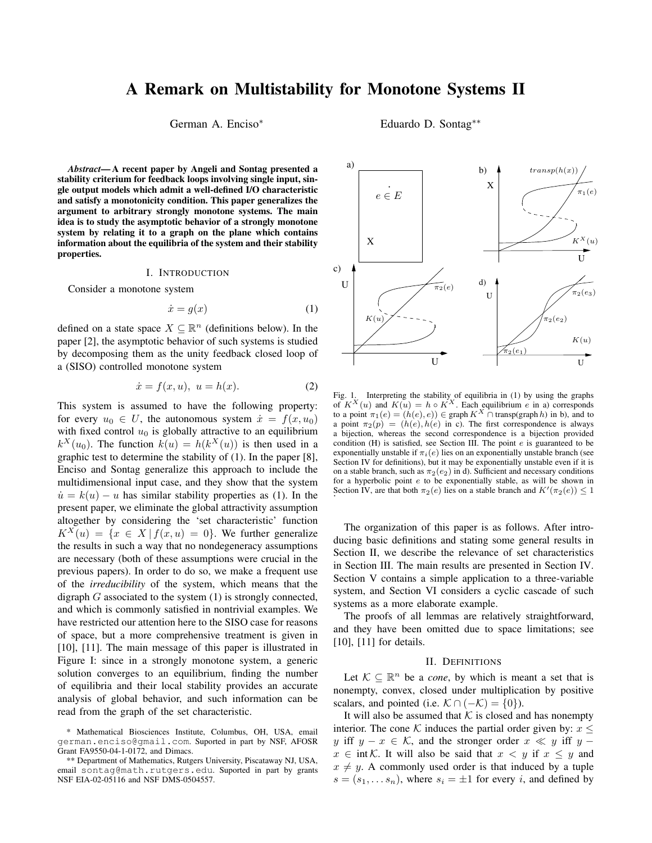# **A Remark on Multistability for Monotone Systems II**

German A. Enciso<sup>\*</sup> Eduardo D. Sontag<sup>\*\*</sup>

*Abstract***—A recent paper by Angeli and Sontag presented a stability criterium for feedback loops involving single input, single output models which admit a well-defined I/O characteristic and satisfy a monotonicity condition. This paper generalizes the argument to arbitrary strongly monotone systems. The main idea is to study the asymptotic behavior of a strongly monotone system by relating it to a graph on the plane which contains information about the equilibria of the system and their stability properties.**

#### I. INTRODUCTION

Consider a monotone system

$$
\dot{x} = g(x) \tag{1}
$$

defined on a state space  $X \subseteq \mathbb{R}^n$  (definitions below). In the paper [2], the asymptotic behavior of such systems is studied by decomposing them as the unity feedback closed loop of a (SISO) controlled monotone system

$$
\dot{x} = f(x, u), \ u = h(x). \tag{2}
$$

This system is assumed to have the following property: for every  $u_0 \in U$ , the autonomous system  $\dot{x} = f(x, u_0)$ with fixed control  $u_0$  is globally attractive to an equilibrium  $k^{X}(u_0)$ . The function  $k(u) = h(k^{X}(u))$  is then used in a graphic test to determine the stability of (1). In the paper [8], Enciso and Sontag generalize this approach to include the multidimensional input case, and they show that the system  $\dot{u} = k(u) - u$  has similar stability properties as (1). In the present paper, we eliminate the global attractivity assumption altogether by considering the 'set characteristic' function  $K^{X}(u) = \{x \in X \mid f(x, u) = 0\}$ . We further generalize the results in such a way that no nondegeneracy assumptions are necessary (both of these assumptions were crucial in the previous papers). In order to do so, we make a frequent use of the *irreducibility* of the system, which means that the digraph  $G$  associated to the system  $(1)$  is strongly connected, and which is commonly satisfied in nontrivial examples. We have restricted our attention here to the SISO case for reasons of space, but a more comprehensive treatment is given in [10], [11]. The main message of this paper is illustrated in Figure I: since in a strongly monotone system, a generic solution converges to an equilibrium, finding the number of equilibria and their local stability provides an accurate analysis of global behavior, and such information can be read from the graph of the set characteristic.



Fig. 1. Interpreting the stability of equilibria in (1) by using the graphs of  $K^X(u)$  and  $K(u) = h \circ K^X$ . Each equilibrium e in a) corresponds to a point  $\pi_1(e) = (h(e), e)) \in \text{graph } K^X \cap \text{transport}(graph h)$  in b), and to a point  $\pi_2(p) = (h(e), h(e))$  in c). The first correspondence is always a bijection, whereas the second correspondence is a bijection provided condition  $(H)$  is satisfied, see Section III. The point  $e$  is guaranteed to be exponentially unstable if  $\pi_i(e)$  lies on an exponentially unstable branch (see Section IV for definitions), but it may be exponentially unstable even if it is on a stable branch, such as  $\pi_2(e_2)$  in d). Sufficient and necessary conditions for a hyperbolic point e to be exponentially stable, as will be shown in Section IV, are that both  $\pi_2(e)$  lies on a stable branch and  $K'(\pi_2(e)) \leq 1$ 

The organization of this paper is as follows. After introducing basic definitions and stating some general results in Section II, we describe the relevance of set characteristics in Section III. The main results are presented in Section IV. Section V contains a simple application to a three-variable system, and Section VI considers a cyclic cascade of such systems as a more elaborate example.

The proofs of all lemmas are relatively straightforward, and they have been omitted due to space limitations; see [10], [11] for details.

# II. DEFINITIONS

Let  $K \subseteq \mathbb{R}^n$  be a *cone*, by which is meant a set that is nonempty, convex, closed under multiplication by positive scalars, and pointed (i.e.  $\mathcal{K} \cap (-\mathcal{K}) = \{0\}$ ).

It will also be assumed that  $K$  is closed and has nonempty interior. The cone K induces the partial order given by:  $x \leq$ y iff  $y - x \in \mathcal{K}$ , and the stronger order  $x \ll y$  iff y –  $x \in \text{int }\mathcal{K}$ . It will also be said that  $x < y$  if  $x \leq y$  and  $x \neq y$ . A commonly used order is that induced by a tuple  $s = (s_1, \ldots s_n)$ , where  $s_i = \pm 1$  for every i, and defined by

<sup>\*</sup> Mathematical Biosciences Institute, Columbus, OH, USA, email german.enciso@gmail.com. Suported in part by NSF, AFOSR Grant FA9550-04-1-0172, and Dimacs.

<sup>\*\*</sup> Department of Mathematics, Rutgers University, Piscataway NJ, USA, email sontag@math.rutgers.edu. Suported in part by grants NSF EIA-02-05116 and NSF DMS-0504557.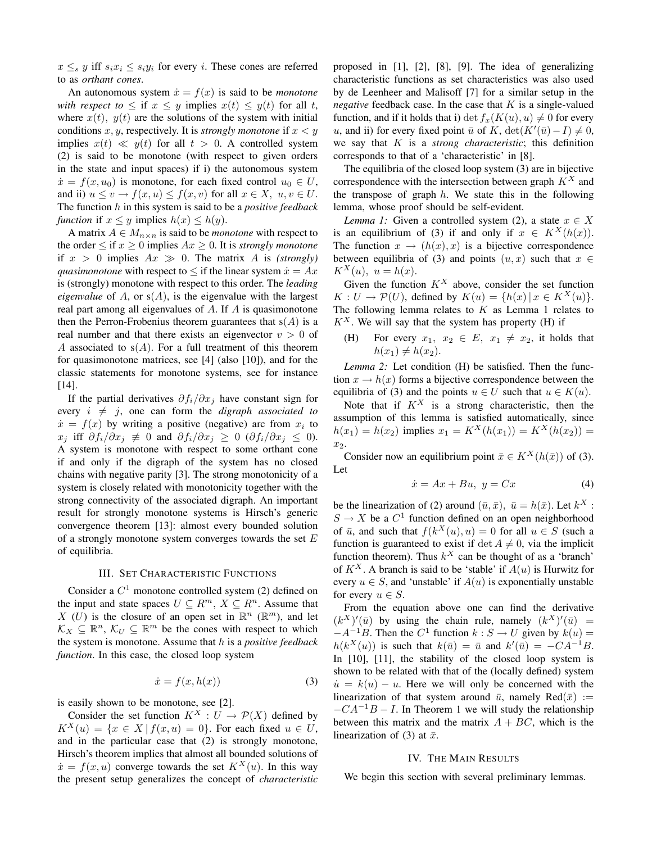$x \leq_s y$  iff  $s_i x_i \leq s_i y_i$  for every i. These cones are referred to as *orthant cones*.

An autonomous system  $\dot{x} = f(x)$  is said to be *monotone with respect to*  $\leq$  if  $x \leq y$  implies  $x(t) \leq y(t)$  for all t, where  $x(t)$ ,  $y(t)$  are the solutions of the system with initial conditions  $x, y$ , respectively. It is *strongly monotone* if  $x < y$ implies  $x(t) \ll y(t)$  for all  $t > 0$ . A controlled system (2) is said to be monotone (with respect to given orders in the state and input spaces) if i) the autonomous system  $\dot{x} = f(x, u_0)$  is monotone, for each fixed control  $u_0 \in U$ , and ii)  $u \le v \to f(x, u) \le f(x, v)$  for all  $x \in X$ ,  $u, v \in U$ . The function h in this system is said to be a *positive feedback function* if  $x \leq y$  implies  $h(x) \leq h(y)$ .

A matrix  $A \in M_{n \times n}$  is said to be *monotone* with respect to the order  $\leq$  if  $x \geq 0$  implies  $Ax \geq 0$ . It is *strongly monotone* if  $x > 0$  implies  $Ax \gg 0$ . The matrix A is *(strongly) quasimonotone* with respect to  $\leq$  if the linear system  $\dot{x} = Ax$ is (strongly) monotone with respect to this order. The *leading eigenvalue* of A, or  $s(A)$ , is the eigenvalue with the largest real part among all eigenvalues of A. If A is quasimonotone then the Perron-Frobenius theorem guarantees that  $s(A)$  is a real number and that there exists an eigenvector  $v > 0$  of A associated to  $s(A)$ . For a full treatment of this theorem for quasimonotone matrices, see [4] (also [10]), and for the classic statements for monotone systems, see for instance [14].

If the partial derivatives  $\partial f_i/\partial x_j$  have constant sign for every  $i \neq j$ , one can form the *digraph associated to*  $\dot{x} = f(x)$  by writing a positive (negative) arc from  $x_i$  to  $x_i$  iff  $\partial f_i/\partial x_j \neq 0$  and  $\partial f_i/\partial x_j \geq 0$  ( $\partial f_i/\partial x_j \leq 0$ ). A system is monotone with respect to some orthant cone if and only if the digraph of the system has no closed chains with negative parity [3]. The strong monotonicity of a system is closely related with monotonicity together with the strong connectivity of the associated digraph. An important result for strongly monotone systems is Hirsch's generic convergence theorem [13]: almost every bounded solution of a strongly monotone system converges towards the set  $E$ of equilibria.

# III. SET CHARACTERISTIC FUNCTIONS

Consider a  $C^1$  monotone controlled system (2) defined on the input and state spaces  $U \subseteq R^m$ ,  $X \subseteq R^n$ . Assume that X (U) is the closure of an open set in  $\mathbb{R}^n$  ( $\mathbb{R}^m$ ), and let  $\mathcal{K}_X \subseteq \mathbb{R}^n$ ,  $\mathcal{K}_U \subseteq \mathbb{R}^m$  be the cones with respect to which the system is monotone. Assume that h is a *positive feedback function*. In this case, the closed loop system

$$
\dot{x} = f(x, h(x))\tag{3}
$$

is easily shown to be monotone, see [2].

Consider the set function  $K^X : U \to \mathcal{P}(X)$  defined by  $K^X(u) = \{x \in X \mid f(x, u) = 0\}$ . For each fixed  $u \in U$ , and in the particular case that (2) is strongly monotone, Hirsch's theorem implies that almost all bounded solutions of  $\dot{x} = f(x, u)$  converge towards the set  $K^{X}(u)$ . In this way the present setup generalizes the concept of *characteristic* proposed in [1], [2], [8], [9]. The idea of generalizing characteristic functions as set characteristics was also used by de Leenheer and Malisoff [7] for a similar setup in the *negative* feedback case. In the case that  $K$  is a single-valued function, and if it holds that i) det  $f_x(K(u), u) \neq 0$  for every u, and ii) for every fixed point  $\bar{u}$  of  $K$ ,  $\det(K'(\bar{u}) - I) \neq 0$ , we say that K is a *strong characteristic*; this definition corresponds to that of a 'characteristic' in [8].

The equilibria of the closed loop system (3) are in bijective correspondence with the intersection between graph  $K^X$  and the transpose of graph  $h$ . We state this in the following lemma, whose proof should be self-evident.

*Lemma 1:* Given a controlled system (2), a state  $x \in X$ is an equilibrium of (3) if and only if  $x \in K^X(h(x))$ . The function  $x \to (h(x), x)$  is a bijective correspondence between equilibria of (3) and points  $(u, x)$  such that  $x \in$  $K^X(u)$ ,  $u = h(x)$ .

Given the function  $K^X$  above, consider the set function  $K: U \to \mathcal{P}(U)$ , defined by  $K(u) = \{h(x) | x \in K^X(u)\}.$ The following lemma relates to  $K$  as Lemma 1 relates to  $K^X$ . We will say that the system has property (H) if

(H) For every  $x_1, x_2 \in E$ ,  $x_1 \neq x_2$ , it holds that  $h(x_1) \neq h(x_2)$ .

*Lemma 2:* Let condition (H) be satisfied. Then the function  $x \to h(x)$  forms a bijective correspondence between the equilibria of (3) and the points  $u \in U$  such that  $u \in K(u)$ .

Note that if  $K^X$  is a strong characteristic, then the assumption of this lemma is satisfied automatically, since  $h(x_1) = h(x_2)$  implies  $x_1 = K^X(h(x_1)) = K^X(h(x_2)) =$ x2.

Consider now an equilibrium point  $\bar{x} \in K^X(h(\bar{x}))$  of (3). Let

$$
\dot{x} = Ax + Bu, \ y = Cx \tag{4}
$$

be the linearization of (2) around  $(\bar{u}, \bar{x})$ ,  $\bar{u} = h(\bar{x})$ . Let  $k^X$ :  $S \to X$  be a  $C^1$  function defined on an open neighborhood of  $\bar{u}$ , and such that  $f(k^X(u), u) = 0$  for all  $u \in S$  (such a function is guaranteed to exist if  $\det A \neq 0$ , via the implicit function theorem). Thus  $k^X$  can be thought of as a 'branch' of  $K^X$ . A branch is said to be 'stable' if  $A(u)$  is Hurwitz for every  $u \in S$ , and 'unstable' if  $A(u)$  is exponentially unstable for every  $u \in S$ .

From the equation above one can find the derivative  $(k^X)'(\bar{u})$  by using the chain rule, namely  $(k^X)'(\bar{u})$  =  $-A^{-1}B$ . Then the  $C^1$  function  $k: S \to U$  given by  $k(u) =$  $h(k^X(u))$  is such that  $k(\bar{u}) = \bar{u}$  and  $k'(\bar{u}) = -CA^{-1}B$ . In [10], [11], the stability of the closed loop system is shown to be related with that of the (locally defined) system  $\dot{u} = k(u) - u$ . Here we will only be concerned with the linearization of that system around  $\bar{u}$ , namely Red $(\bar{x})$  :=  $-CA^{-1}B - I$ . In Theorem 1 we will study the relationship between this matrix and the matrix  $A + BC$ , which is the linearization of (3) at  $\bar{x}$ .

#### IV. THE MAIN RESULTS

We begin this section with several preliminary lemmas.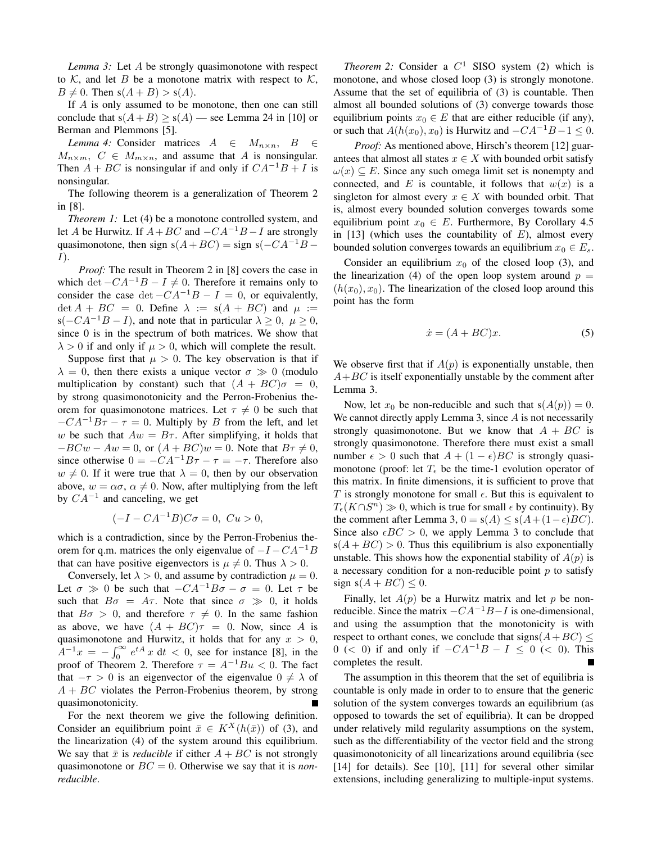*Lemma 3:* Let A be strongly quasimonotone with respect to K, and let B be a monotone matrix with respect to K,  $B \neq 0$ . Then  $s(A + B) > s(A)$ .

If A is only assumed to be monotone, then one can still conclude that  $s(A+B) \ge s(A)$  — see Lemma 24 in [10] or Berman and Plemmons [5].

*Lemma* 4: Consider matrices  $A \in M_{n \times n}$ ,  $B \in$  $M_{n\times m}$ ,  $C \in M_{m\times n}$ , and assume that A is nonsingular. Then  $A + BC$  is nonsingular if and only if  $CA^{-1}B + I$  is nonsingular.

The following theorem is a generalization of Theorem 2 in [8].

*Theorem 1:* Let (4) be a monotone controlled system, and let A be Hurwitz. If  $A + BC$  and  $-CA^{-1}B - I$  are strongly quasimonotone, then sign s( $A+BC$ ) = sign s( $-CA^{-1}B$  – I).

*Proof:* The result in Theorem 2 in [8] covers the case in which det  $-CA^{-1}B - I \neq 0$ . Therefore it remains only to consider the case det  $-CA^{-1}B - I = 0$ , or equivalently,  $\det A + BC = 0$ . Define  $\lambda := s(A + BC)$  and  $\mu :=$ s( $-C A^{-1}B - I$ ), and note that in particular  $\lambda \geq 0$ ,  $\mu \geq 0$ , since 0 is in the spectrum of both matrices. We show that  $\lambda > 0$  if and only if  $\mu > 0$ , which will complete the result.

Suppose first that  $\mu > 0$ . The key observation is that if  $\lambda = 0$ , then there exists a unique vector  $\sigma \gg 0$  (modulo multiplication by constant) such that  $(A + BC)\sigma = 0$ , by strong quasimonotonicity and the Perron-Frobenius theorem for quasimonotone matrices. Let  $\tau \neq 0$  be such that  $-CA^{-1}B\tau - \tau = 0$ . Multiply by B from the left, and let w be such that  $Aw = B\tau$ . After simplifying, it holds that  $-BCw - Aw = 0$ , or  $(A + BC)w = 0$ . Note that  $B\tau \neq 0$ , since otherwise  $0 = -CA^{-1}B\tau - \tau = -\tau$ . Therefore also  $w \neq 0$ . If it were true that  $\lambda = 0$ , then by our observation above,  $w = \alpha \sigma$ ,  $\alpha \neq 0$ . Now, after multiplying from the left by  $CA^{-1}$  and canceling, we get

$$
(-I - CA^{-1}B)C\sigma = 0, Cu > 0,
$$

which is a contradiction, since by the Perron-Frobenius theorem for q.m. matrices the only eigenvalue of  $-I - CA^{-1}B$ that can have positive eigenvectors is  $\mu \neq 0$ . Thus  $\lambda > 0$ .

Conversely, let  $\lambda > 0$ , and assume by contradiction  $\mu = 0$ . Let  $\sigma \gg 0$  be such that  $-CA^{-1}B\sigma - \sigma = 0$ . Let  $\tau$  be such that  $B\sigma = A\tau$ . Note that since  $\sigma \gg 0$ , it holds that  $B\sigma > 0$ , and therefore  $\tau \neq 0$ . In the same fashion as above, we have  $(A + BC)\tau = 0$ . Now, since A is quasimonotone and Hurwitz, it holds that for any  $x > 0$ ,  $A^{-1}x = -\int_0^\infty e^{tA} x \, dt < 0$ , see for instance [8], in the proof of Theorem 2. Therefore  $\tau = A^{-1}Bu < 0$ . The fact that  $-\tau > 0$  is an eigenvector of the eigenvalue  $0 \neq \lambda$  of  $A + BC$  violates the Perron-Frobenius theorem, by strong quasimonotonicity.

For the next theorem we give the following definition. Consider an equilibrium point  $\bar{x} \in K^X(h(\bar{x}))$  of (3), and the linearization (4) of the system around this equilibrium. We say that  $\bar{x}$  is *reducible* if either  $A + BC$  is not strongly quasimonotone or BC = 0. Otherwise we say that it is *nonreducible*.

*Theorem* 2: Consider a  $C^1$  SISO system (2) which is monotone, and whose closed loop (3) is strongly monotone. Assume that the set of equilibria of (3) is countable. Then almost all bounded solutions of (3) converge towards those equilibrium points  $x_0 \in E$  that are either reducible (if any), or such that  $A(h(x_0), x_0)$  is Hurwitz and  $-CA^{-1}B-1 \leq 0$ .

*Proof:* As mentioned above, Hirsch's theorem [12] guarantees that almost all states  $x \in X$  with bounded orbit satisfy  $\omega(x) \subseteq E$ . Since any such omega limit set is nonempty and connected, and E is countable, it follows that  $w(x)$  is a singleton for almost every  $x \in X$  with bounded orbit. That is, almost every bounded solution converges towards some equilibrium point  $x_0 \in E$ . Furthermore, By Corollary 4.5 in [13] (which uses the countability of  $E$ ), almost every bounded solution converges towards an equilibrium  $x_0 \in E_s$ .

Consider an equilibrium  $x_0$  of the closed loop (3), and the linearization (4) of the open loop system around  $p =$  $(h(x_0), x_0)$ . The linearization of the closed loop around this point has the form

$$
\dot{x} = (A + BC)x.\tag{5}
$$

We observe first that if  $A(p)$  is exponentially unstable, then  $A+BC$  is itself exponentially unstable by the comment after Lemma 3.

Now, let  $x_0$  be non-reducible and such that  $s(A(p)) = 0$ . We cannot directly apply Lemma 3, since A is not necessarily strongly quasimonotone. But we know that  $A + BC$  is strongly quasimonotone. Therefore there must exist a small number  $\epsilon > 0$  such that  $A + (1 - \epsilon)BC$  is strongly quasimonotone (proof: let  $T_{\epsilon}$  be the time-1 evolution operator of this matrix. In finite dimensions, it is sufficient to prove that T is strongly monotone for small  $\epsilon$ . But this is equivalent to  $T_{\epsilon}(K \cap S^{n}) \gg 0$ , which is true for small  $\epsilon$  by continuity). By the comment after Lemma 3,  $0 = s(A) \le s(A+(1-\epsilon)BC)$ . Since also  $\epsilon BC > 0$ , we apply Lemma 3 to conclude that  $s(A + BC) > 0$ . Thus this equilibrium is also exponentially unstable. This shows how the exponential stability of  $A(p)$  is a necessary condition for a non-reducible point  $p$  to satisfy sign  $s(A + BC) \leq 0$ .

Finally, let  $A(p)$  be a Hurwitz matrix and let p be nonreducible. Since the matrix  $-CA^{-1}B-I$  is one-dimensional, and using the assumption that the monotonicity is with respect to orthant cones, we conclude that signs( $A+BC$ )  $\leq$ 0 (< 0) if and only if  $-CA^{-1}B - I \le 0$  (< 0). This completes the result.

The assumption in this theorem that the set of equilibria is countable is only made in order to to ensure that the generic solution of the system converges towards an equilibrium (as opposed to towards the set of equilibria). It can be dropped under relatively mild regularity assumptions on the system, such as the differentiability of the vector field and the strong quasimonotonicity of all linearizations around equilibria (see [14] for details). See [10], [11] for several other similar extensions, including generalizing to multiple-input systems.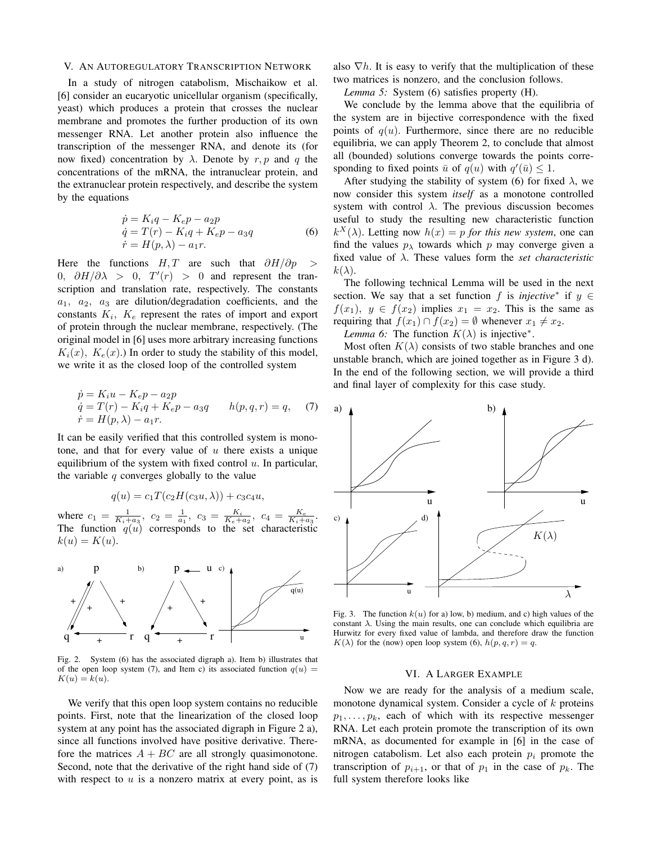## V. AN AUTOREGULATORY TRANSCRIPTION NETWORK

In a study of nitrogen catabolism, Mischaikow et al. [6] consider an eucaryotic unicellular organism (specifically, yeast) which produces a protein that crosses the nuclear membrane and promotes the further production of its own messenger RNA. Let another protein also influence the transcription of the messenger RNA, and denote its (for now fixed) concentration by  $\lambda$ . Denote by r, p and q the concentrations of the mRNA, the intranuclear protein, and the extranuclear protein respectively, and describe the system by the equations

$$
\begin{aligned}\n\dot{p} &= K_i q - K_e p - a_2 p \\
\dot{q} &= T(r) - K_i q + K_e p - a_3 q \\
\dot{r} &= H(p, \lambda) - a_1 r.\n\end{aligned} \tag{6}
$$

Here the functions  $H, T$  are such that  $\partial H/\partial p$  > 0,  $\partial H/\partial \lambda > 0$ ,  $T'(r) > 0$  and represent the transcription and translation rate, respectively. The constants  $a_1$ ,  $a_2$ ,  $a_3$  are dilution/degradation coefficients, and the constants  $K_i$ ,  $K_e$  represent the rates of import and export of protein through the nuclear membrane, respectively. (The original model in [6] uses more arbitrary increasing functions  $K_i(x)$ ,  $K_e(x)$ .) In order to study the stability of this model, we write it as the closed loop of the controlled system

$$
\dot{p} = K_i u - K_e p - a_2 p \n\dot{q} = T(r) - K_i q + K_e p - a_3 q \qquad h(p, q, r) = q,
$$
\n(7)  
\n
$$
\dot{r} = H(p, \lambda) - a_1 r.
$$

It can be easily verified that this controlled system is monotone, and that for every value of  $u$  there exists a unique equilibrium of the system with fixed control  $u$ . In particular, the variable  $q$  converges globally to the value

$$
q(u) = c_1 T(c_2 H(c_3 u, \lambda)) + c_3 c_4 u,
$$

where  $c_1 = \frac{1}{K_i + a_3}$ ,  $c_2 = \frac{1}{a_1}$ ,  $c_3 = \frac{K_i}{K_e + a_2}$ ,  $c_4 = \frac{K_e}{K_i + a_3}$ . The function  $q(u)$  corresponds to the set characteristic  $k(u) = K(u).$ 



Fig. 2. System (6) has the associated digraph a). Item b) illustrates that of the open loop system (7), and Item c) its associated function  $q(u)$  =  $K(u) = k(u).$ 

We verify that this open loop system contains no reducible points. First, note that the linearization of the closed loop system at any point has the associated digraph in Figure 2 a), since all functions involved have positive derivative. Therefore the matrices  $A + BC$  are all strongly quasimonotone. Second, note that the derivative of the right hand side of  $(7)$ with respect to  $u$  is a nonzero matrix at every point, as is

also  $\nabla h$ . It is easy to verify that the multiplication of these two matrices is nonzero, and the conclusion follows.

*Lemma 5:* System (6) satisfies property (H).

We conclude by the lemma above that the equilibria of the system are in bijective correspondence with the fixed points of  $q(u)$ . Furthermore, since there are no reducible equilibria, we can apply Theorem 2, to conclude that almost all (bounded) solutions converge towards the points corresponding to fixed points  $\bar{u}$  of  $q(u)$  with  $q'(\bar{u}) \leq 1$ .

After studying the stability of system (6) for fixed  $\lambda$ , we now consider this system *itself* as a monotone controlled system with control  $\lambda$ . The previous discussion becomes useful to study the resulting new characteristic function  $k^{X}(\lambda)$ . Letting now  $h(x) = p$  *for this new system*, one can find the values  $p_{\lambda}$  towards which p may converge given a fixed value of λ. These values form the *set characteristic*  $k(\lambda)$ .

The following technical Lemma will be used in the next section. We say that a set function f is *injective*<sup>\*</sup> if  $y \in$  $f(x_1)$ ,  $y \in f(x_2)$  implies  $x_1 = x_2$ . This is the same as requiring that  $f(x_1) \cap f(x_2) = \emptyset$  whenever  $x_1 \neq x_2$ .

*Lemma 6:* The function  $K(\lambda)$  is injective<sup>\*</sup>.

Most often  $K(\lambda)$  consists of two stable branches and one unstable branch, which are joined together as in Figure 3 d). In the end of the following section, we will provide a third and final layer of complexity for this case study.



Fig. 3. The function  $k(u)$  for a) low, b) medium, and c) high values of the constant  $\lambda$ . Using the main results, one can conclude which equilibria are Hurwitz for every fixed value of lambda, and therefore draw the function  $K(\lambda)$  for the (now) open loop system (6),  $h(p,q,r) = q$ .

## VI. A LARGER EXAMPLE

Now we are ready for the analysis of a medium scale, monotone dynamical system. Consider a cycle of  $k$  proteins  $p_1, \ldots, p_k$ , each of which with its respective messenger RNA. Let each protein promote the transcription of its own mRNA, as documented for example in [6] in the case of nitrogen catabolism. Let also each protein  $p_i$  promote the transcription of  $p_{i+1}$ , or that of  $p_1$  in the case of  $p_k$ . The full system therefore looks like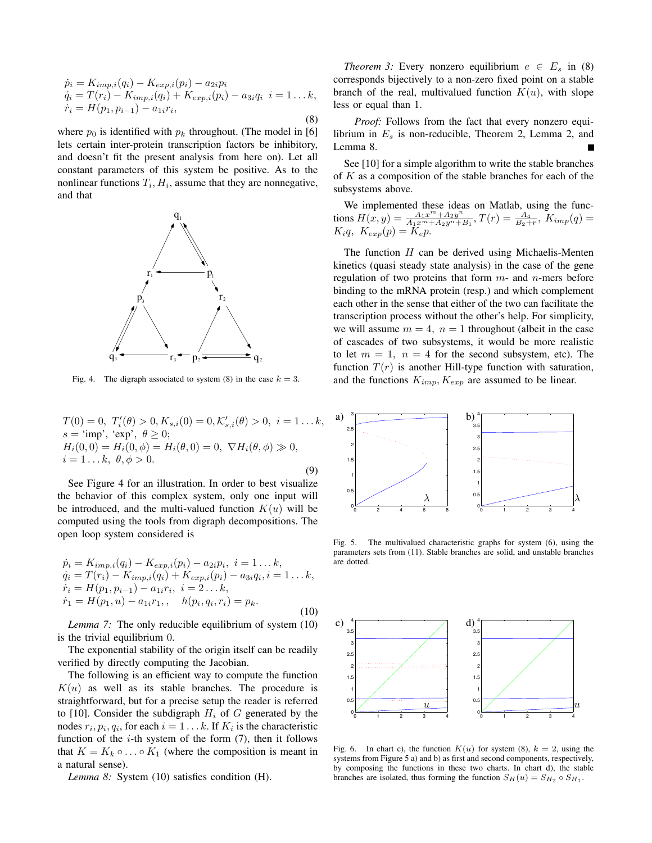$$
\dot{p}_i = K_{imp,i}(q_i) - K_{exp,i}(p_i) - a_{2i}p_i \n\dot{q}_i = T(r_i) - K_{imp,i}(q_i) + K_{exp,i}(p_i) - a_{3i}q_i \quad i = 1...k, \n\dot{r}_i = H(p_1, p_{i-1}) - a_{1i}r_i,
$$
\n(8)

where  $p_0$  is identified with  $p_k$  throughout. (The model in [6] lets certain inter-protein transcription factors be inhibitory, and doesn't fit the present analysis from here on). Let all constant parameters of this system be positive. As to the nonlinear functions  $T_i$ ,  $H_i$ , assume that they are nonnegative, and that



Fig. 4. The digraph associated to system (8) in the case  $k = 3$ .

$$
T(0) = 0, T'_{i}(\theta) > 0, K_{s,i}(0) = 0, \mathcal{K}'_{s,i}(\theta) > 0, i = 1...k,
$$
  
\n
$$
s = \text{'imp'}, \text{'exp'}, \theta \ge 0;
$$
  
\n
$$
H_{i}(0,0) = H_{i}(0,\phi) = H_{i}(\theta,0) = 0, \nabla H_{i}(\theta,\phi) \gg 0,
$$
  
\n
$$
i = 1...k, \theta, \phi > 0.
$$
\n(9)

See Figure 4 for an illustration. In order to best visualize the behavior of this complex system, only one input will be introduced, and the multi-valued function  $K(u)$  will be computed using the tools from digraph decompositions. The open loop system considered is

$$
\begin{aligned}\n\dot{p}_i &= K_{imp,i}(q_i) - K_{exp,i}(p_i) - a_{2i}p_i, \ i = 1 \dots k, \\
\dot{q}_i &= T(r_i) - K_{imp,i}(q_i) + K_{exp,i}(p_i) - a_{3i}q_i, \ i = 1 \dots k, \\
\dot{r}_i &= H(p_1, p_{i-1}) - a_{1i}r_i, \ i = 2 \dots k, \\
\dot{r}_1 &= H(p_1, u) - a_{1i}r_1, \quad h(p_i, q_i, r_i) = p_k.\n\end{aligned} \tag{10}
$$

*Lemma 7:* The only reducible equilibrium of system (10) is the trivial equilibrium 0.

The exponential stability of the origin itself can be readily verified by directly computing the Jacobian.

The following is an efficient way to compute the function  $K(u)$  as well as its stable branches. The procedure is straightforward, but for a precise setup the reader is referred to [10]. Consider the subdigraph  $H_i$  of G generated by the nodes  $r_i, p_i, q_i$ , for each  $i = 1...k$ . If  $K_i$  is the characteristic function of the  $i$ -th system of the form  $(7)$ , then it follows that  $K = K_k \circ \dots \circ K_1$  (where the composition is meant in a natural sense).

*Lemma 8:* System (10) satisfies condition (H).

*Theorem 3:* Every nonzero equilibrium  $e \in E_s$  in (8) corresponds bijectively to a non-zero fixed point on a stable branch of the real, multivalued function  $K(u)$ , with slope less or equal than 1.

*Proof:* Follows from the fact that every nonzero equilibrium in  $E_s$  is non-reducible, Theorem 2, Lemma 2, and Lemma 8.

See [10] for a simple algorithm to write the stable branches of  $K$  as a composition of the stable branches for each of the subsystems above.

We implemented these ideas on Matlab, using the functions  $H(x,y) = \frac{A_1 x^m + A_2 y^n}{A_1 x^m + A_2 y^n + A_3 y^n}$  $\frac{A_1x^m + A_2y^n}{A_1x^m + A_2y^n + B_1}$ ,  $T(r) = \frac{A_4}{B_2+r}$ ,  $K_{imp}(q) =$  $K_iq, K_{exp}(p) = \tilde{K}_ep.$ 

The function  $H$  can be derived using Michaelis-Menten kinetics (quasi steady state analysis) in the case of the gene regulation of two proteins that form  $m$ - and  $n$ -mers before binding to the mRNA protein (resp.) and which complement each other in the sense that either of the two can facilitate the transcription process without the other's help. For simplicity, we will assume  $m = 4$ ,  $n = 1$  throughout (albeit in the case of cascades of two subsystems, it would be more realistic to let  $m = 1$ ,  $n = 4$  for the second subsystem, etc). The function  $T(r)$  is another Hill-type function with saturation, and the functions  $K_{imp}$ ,  $K_{exp}$  are assumed to be linear.



Fig. 5. The multivalued characteristic graphs for system (6), using the parameters sets from (11). Stable branches are solid, and unstable branches are dotted.



Fig. 6. In chart c), the function  $K(u)$  for system (8),  $k = 2$ , using the systems from Figure 5 a) and b) as first and second components, respectively, by composing the functions in these two charts. In chart d), the stable branches are isolated, thus forming the function  $S_H(u) = S_{H_2} \circ S_{H_1}$ .